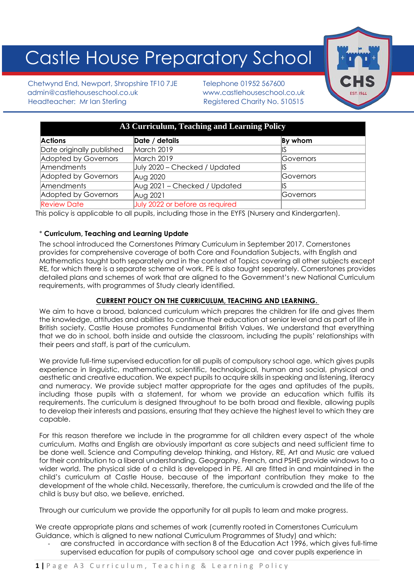# Castle House Preparatory School

Chetwynd End, Newport, Shropshire TF10 7JE Telephone 01952 567600 admin@castlehouseschool.co.uk www.castlehouseschool.co.uk Headteacher: Mr Ian Sterling Theory Registered Charity No. 510515



| A3 Curriculum, Teaching and Learning Policy |                                 |                  |
|---------------------------------------------|---------------------------------|------------------|
| <b>Actions</b>                              | Date / details                  | By whom          |
| Date originally published                   | March 2019                      |                  |
| Adopted by Governors                        | March 2019                      | <b>Governors</b> |
| Amendments                                  | July 2020 - Checked / Updated   |                  |
| Adopted by Governors                        | Aug 2020                        | Governors        |
| Amendments                                  | Aug 2021 - Checked / Updated    |                  |
| Adopted by Governors                        | Aug 2021                        | <b>Governors</b> |
| <b>Review Date</b>                          | July 2022 or before as required |                  |

This policy is applicable to all pupils, including those in the EYFS (Nursery and Kindergarten).

## \* **Curriculum, Teaching and Learning Update**

The school introduced the Cornerstones Primary Curriculum in September 2017. Cornerstones provides for comprehensive coverage of both Core and Foundation Subjects, with English and Mathematics taught both separately and in the context of Topics covering all other subjects except RE, for which there is a separate scheme of work. PE is also taught separately. Cornerstones provides detailed plans and schemes of work that are aligned to the Government's new National Curriculum requirements, with programmes of Study clearly identified.

## **CURRENT POLICY ON THE CURRICULUM, TEACHING AND LEARNING.**

We aim to have a broad, balanced curriculum which prepares the children for life and gives them the knowledge, attitudes and abilities to continue their education at senior level and as part of life in British society. Castle House promotes Fundamental British Values. We understand that everything that we do in school, both inside and outside the classroom, including the pupils' relationships with their peers and staff, is part of the curriculum.

We provide full-time supervised education for all pupils of compulsory school age, which gives pupils experience in linguistic, mathematical, scientific, technological, human and social, physical and aesthetic and creative education. We expect pupils to acquire skills in speaking and listening, literacy and numeracy. We provide subject matter appropriate for the ages and aptitudes of the pupils, including those pupils with a statement, for whom we provide an education which fulfils its requirements. The curriculum is designed throughout to be both broad and flexible, allowing pupils to develop their interests and passions, ensuring that they achieve the highest level to which they are capable.

For this reason therefore we include in the programme for all children every aspect of the whole curriculum. Maths and English are obviously important as core subjects and need sufficient time to be done well. Science and Computing develop thinking, and History, RE, Art and Music are valued for their contribution to a liberal understanding. Geography, French, and PSHE provide windows to a wider world. The physical side of a child is developed in PE. All are fitted in and maintained in the child's curriculum at Castle House, because of the important contribution they make to the development of the whole child. Necessarily, therefore, the curriculum is crowded and the life of the child is busy but also, we believe, enriched.

Through our curriculum we provide the opportunity for all pupils to learn and make progress.

We create appropriate plans and schemes of work (currently rooted in Cornerstones Curriculum Guidance, which is aligned to new national Curriculum Programmes of Study) and which:

are constructed in accordance with section 8 of the Education Act 1996, which gives full-time supervised education for pupils of compulsory school age and cover pupils experience in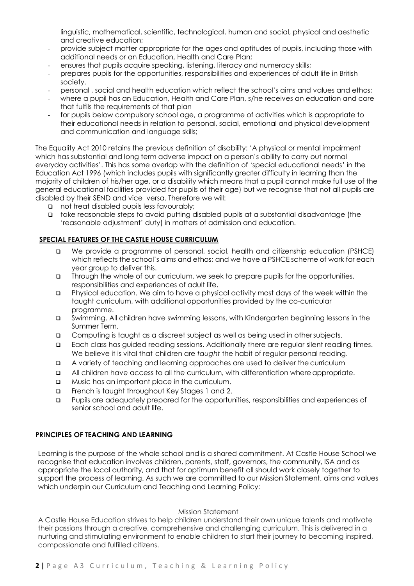linguistic, mathematical, scientific, technological, human and social, physical and aesthetic and creative education;

- provide subject matter appropriate for the ages and aptitudes of pupils, including those with additional needs or an Education, Health and Care Plan;
- ensures that pupils acquire speaking, listening, literacy and numeracy skills;
- prepares pupils for the opportunities, responsibilities and experiences of adult life in British society.
- personal , social and health education which reflect the school's aims and values and ethos:
- where a pupil has an Education, Health and Care Plan, s/he receives an education and care that fulfils the requirements of that plan
- for pupils below compulsory school age, a programme of activities which is appropriate to their educational needs in relation to personal, social, emotional and physical development and communication and language skills;

The Equality Act 2010 retains the previous definition of disability: 'A physical or mental impairment which has substantial and long term adverse impact on a person's ability to carry out normal everyday activities'. This has some overlap with the definition of 'special educational needs' in the Education Act 1996 (which includes pupils with significantly greater difficulty in learning than the majority of children of his/her age, or a disability which means that a pupil cannot make full use of the general educational facilities provided for pupils of their age) but we recognise that not all pupils are disabled by their SEND and vice versa. Therefore we will:

- ❑ not treat disabled pupils less favourably;
- ❑ take reasonable steps to avoid putting disabled pupils at a substantial disadvantage (the 'reasonable adjustment' duty) in matters of admission and education.

## **SPECIAL FEATURES OF THE CASTLE HOUSE CURRICULUM**

- ❑ We provide a programme of personal, social, health and citizenship education (PSHCE) which reflects the school's aims and ethos; and we have a PSHCE scheme of work for each year group to deliver this.
- ❑ Through the whole of our curriculum, we seek to prepare pupils for the opportunities, responsibilities and experiences of adult life.
- ❑ Physical education. We aim to have a physical activity most days of the week within the taught curriculum, with additional opportunities provided by the co-curricular programme.
- ❑ Swimming. All children have swimming lessons, with Kindergarten beginning lessons in the Summer Term.
- ❑ Computing is taught as a discreet subject as well as being used in othersubjects.
- ❑ Each class has guided reading sessions. Additionally there are regular silent reading times. We believe it is vital that children are *taught* the habit of regular personal reading.
- ❑ A variety of teaching and learning approaches are used to deliver the curriculum
- ❑ All children have access to all the curriculum, with differentiation where appropriate.
- ❑ Music has an important place in the curriculum.
- ❑ French is taught throughout Key Stages 1 and 2.
- ❑ Pupils are adequately prepared for the opportunities, responsibilities and experiences of senior school and adult life.

#### **PRINCIPLES OF TEACHING AND LEARNING**

Learning is the purpose of the whole school and is a shared commitment. At Castle House School we recognise that education involves children, parents, staff, governors, the community, ISA and as appropriate the local authority, and that for optimum benefit all should work closely together to support the process of learning. As such we are committed to our Mission Statement, aims and values which underpin our Curriculum and Teaching and Learning Policy:

#### Mission Statement

A Castle House Education strives to help children understand their own unique talents and motivate their passions through a creative, comprehensive and challenging curriculum. This is delivered in a nurturing and stimulating environment to enable children to start their journey to becoming inspired, compassionate and fulfilled citizens.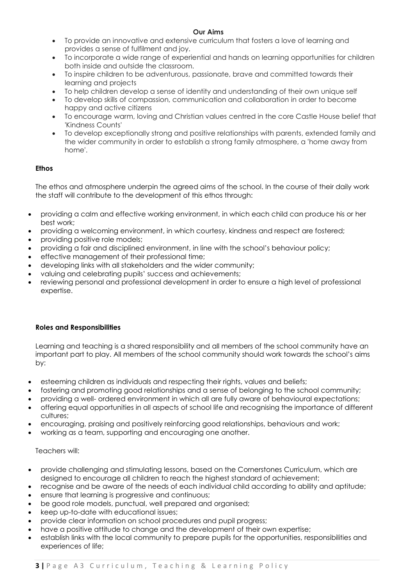## **Our Aims**

- To provide an innovative and extensive curriculum that fosters a love of learning and provides a sense of fulfilment and joy.
- To incorporate a wide range of experiential and hands on learning opportunities for children both inside and outside the classroom.
- To inspire children to be adventurous, passionate, brave and committed towards their learning and projects
- To help children develop a sense of identity and understanding of their own unique self
- To develop skills of compassion, communication and collaboration in order to become happy and active citizens
- To encourage warm, loving and Christian values centred in the core Castle House belief that 'Kindness Counts'
- To develop exceptionally strong and positive relationships with parents, extended family and the wider community in order to establish a strong family atmosphere, a 'home away from home'.

## **Ethos**

The ethos and atmosphere underpin the agreed aims of the school. In the course of their daily work the staff will contribute to the development of this ethos through:

- providing a calm and effective working environment, in which each child can produce his or her best work;
- providing a welcoming environment, in which courtesy, kindness and respect are fostered;
- providing positive role models;
- providing a fair and disciplined environment, in line with the school's behaviour policy;
- effective management of their professional time;
- developing links with all stakeholders and the wider community;
- valuing and celebrating pupils' success and achievements;
- reviewing personal and professional development in order to ensure a high level of professional expertise.

## **Roles and Responsibilities**

Learning and teaching is a shared responsibility and all members of the school community have an important part to play. All members of the school community should work towards the school's aims by:

- esteeming children as individuals and respecting their rights, values and beliefs;
- fostering and promoting good relationships and a sense of belonging to the school community;
- providing a well- ordered environment in which all are fully aware of behavioural expectations;
- offering equal opportunities in all aspects of school life and recognising the importance of different cultures;
- encouraging, praising and positively reinforcing good relationships, behaviours and work;
- working as a team, supporting and encouraging one another.

## Teachers will:

- provide challenging and stimulating lessons, based on the Cornerstones Curriculum, which are designed to encourage all children to reach the highest standard of achievement;
- recognise and be aware of the needs of each individual child according to ability and aptitude;
- ensure that learning is progressive and continuous;
- be good role models, punctual, well prepared and organised;
- keep up-to-date with educational issues:
- provide clear information on school procedures and pupil progress;
- have a positive attitude to change and the development of their own expertise;
- establish links with the local community to prepare pupils for the opportunities, responsibilities and experiences of life;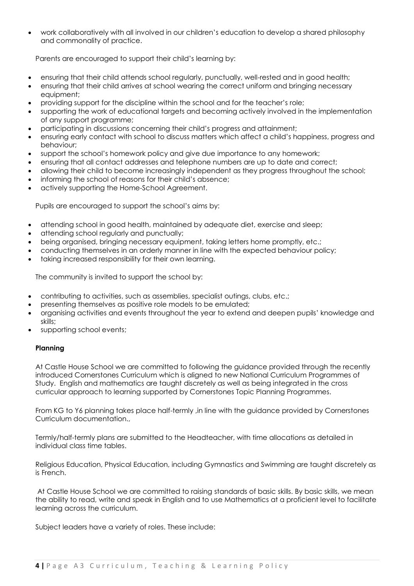• work collaboratively with all involved in our children's education to develop a shared philosophy and commonality of practice.

Parents are encouraged to support their child's learning by:

- ensuring that their child attends school regularly, punctually, well-rested and in good health;
- ensuring that their child arrives at school wearing the correct uniform and bringing necessary equipment;
- providing support for the discipline within the school and for the teacher's role;
- supporting the work of educational targets and becoming actively involved in the implementation of any support programme;
- participating in discussions concerning their child's progress and attainment;
- ensuring early contact with school to discuss matters which affect a child's happiness, progress and behaviour;
- support the school's homework policy and give due importance to any homework;
- ensuring that all contact addresses and telephone numbers are up to date and correct;
- allowing their child to become increasingly independent as they progress throughout the school;
- informing the school of reasons for their child's absence;
- actively supporting the Home-School Agreement.

Pupils are encouraged to support the school's aims by:

- attending school in good health, maintained by adequate diet, exercise and sleep;
- attending school regularly and punctually;
- being organised, bringing necessary equipment, taking letters home promptly, etc.;
- conducting themselves in an orderly manner in line with the expected behaviour policy;
- taking increased responsibility for their own learning.

The community is invited to support the school by:

- contributing to activities, such as assemblies, specialist outings, clubs, etc.;
- presenting themselves as positive role models to be emulated;
- organising activities and events throughout the year to extend and deepen pupils' knowledge and skills;
- supporting school events;

#### **Planning**

At Castle House School we are committed to following the guidance provided through the recently introduced Cornerstones Curriculum which is aligned to new National Curriculum Programmes of Study. English and mathematics are taught discretely as well as being integrated in the cross curricular approach to learning supported by Cornerstones Topic Planning Programmes.

From KG to Y6 planning takes place half-termly ,in line with the guidance provided by Cornerstones Curriculum documentation.,

Termly/half-termly plans are submitted to the Headteacher, with time allocations as detailed in individual class time tables.

Religious Education, Physical Education, including Gymnastics and Swimming are taught discretely as is French.

At Castle House School we are committed to raising standards of basic skills. By basic skills, we mean the ability to read, write and speak in English and to use Mathematics at a proficient level to facilitate learning across the curriculum.

Subject leaders have a variety of roles. These include: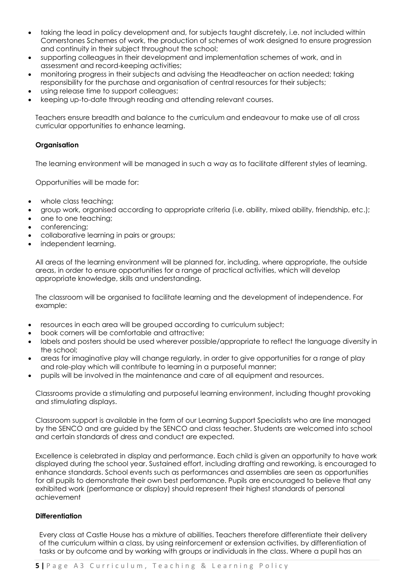- taking the lead in policy development and, for subjects taught discretely, i.e. not included within Cornerstones Schemes of work, the production of schemes of work designed to ensure progression and continuity in their subject throughout the school;
- supporting colleagues in their development and implementation schemes of work, and in assessment and record-keeping activities;
- monitoring progress in their subjects and advising the Headteacher on action needed; taking responsibility for the purchase and organisation of central resources for their subjects;
- using release time to support colleagues;
- keeping up-to-date through reading and attending relevant courses.

Teachers ensure breadth and balance to the curriculum and endeavour to make use of all cross curricular opportunities to enhance learning.

#### **Organisation**

The learning environment will be managed in such a way as to facilitate different styles of learning.

Opportunities will be made for:

- whole class teaching;
- group work, organised according to appropriate criteria (i.e. ability, mixed ability, friendship, etc.);
- one to one teaching:
- conferencing;
- collaborative learning in pairs or groups;
- independent learning.

All areas of the learning environment will be planned for, including, where appropriate, the outside areas, in order to ensure opportunities for a range of practical activities, which will develop appropriate knowledge, skills and understanding.

The classroom will be organised to facilitate learning and the development of independence. For example:

- resources in each area will be grouped according to curriculum subject;
- book corners will be comfortable and attractive;
- labels and posters should be used wherever possible/appropriate to reflect the language diversity in the school;
- areas for imaginative play will change regularly, in order to give opportunities for a range of play and role-play which will contribute to learning in a purposeful manner;
- pupils will be involved in the maintenance and care of all equipment and resources.

Classrooms provide a stimulating and purposeful learning environment, including thought provoking and stimulating displays.

Classroom support is available in the form of our Learning Support Specialists who are line managed by the SENCO and are guided by the SENCO and class teacher. Students are welcomed into school and certain standards of dress and conduct are expected.

Excellence is celebrated in display and performance. Each child is given an opportunity to have work displayed during the school year. Sustained effort, including drafting and reworking, is encouraged to enhance standards. School events such as performances and assemblies are seen as opportunities for all pupils to demonstrate their own best performance. Pupils are encouraged to believe that any exhibited work (performance or display) should represent their highest standards of personal achievement

#### **Differentiation**

Every class at Castle House has a mixture of abilities. Teachers therefore differentiate their delivery of the curriculum within a class, by using reinforcement or extension activities, by differentiation of tasks or by outcome and by working with groups or individuals in the class. Where a pupil has an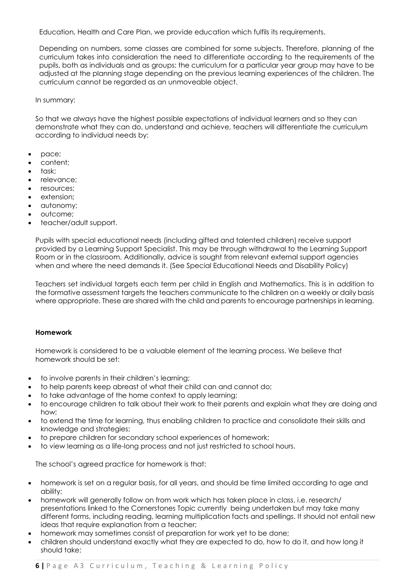Education, Health and Care Plan, we provide education which fulfils its requirements.

Depending on numbers, some classes are combined for some subjects. Therefore, planning of the curriculum takes into consideration the need to differentiate according to the requirements of the pupils, both as individuals and as groups: the curriculum for a particular year group may have to be adjusted at the planning stage depending on the previous learning experiences of the children. The curriculum cannot be regarded as an unmoveable object.

In summary:

So that we always have the highest possible expectations of individual learners and so they can demonstrate what they can do, understand and achieve, teachers will differentiate the curriculum according to individual needs by:

- pace;
- content;
- task;
- relevance;
- resources;
- extension:
- autonomy;
- outcome;
- teacher/adult support.

Pupils with special educational needs (including gifted and talented children) receive support provided by a Learning Support Specialist. This may be through withdrawal to the Learning Support Room or in the classroom. Additionally, advice is sought from relevant external support agencies when and where the need demands it. (See Special Educational Needs and Disability Policy)

Teachers set individual targets each term per child in English and Mathematics. This is in addition to the formative assessment targets the teachers communicate to the children on a weekly or daily basis where appropriate. These are shared with the child and parents to encourage partnerships in learning.

#### **Homework**

Homework is considered to be a valuable element of the learning process. We believe that homework should be set:

- to involve parents in their children's learning;
- to help parents keep abreast of what their child can and cannot do;
- to take advantage of the home context to apply learning;
- to encourage children to talk about their work to their parents and explain what they are doing and how;
- to extend the time for learning, thus enabling children to practice and consolidate their skills and knowledge and strategies;
- to prepare children for secondary school experiences of homework;
- to view learning as a life-long process and not just restricted to school hours.

The school's agreed practice for homework is that:

- homework is set on a regular basis, for all years, and should be time limited according to age and ability;
- homework will generally follow on from work which has taken place in class, i.e. research/ presentations linked to the Cornerstones Topic currently being undertaken but may take many different forms, including reading, learning multiplication facts and spellings. It should not entail new ideas that require explanation from a teacher;
- homework may sometimes consist of preparation for work yet to be done;
- children should understand exactly what they are expected to do, how to do it, and how long it should take;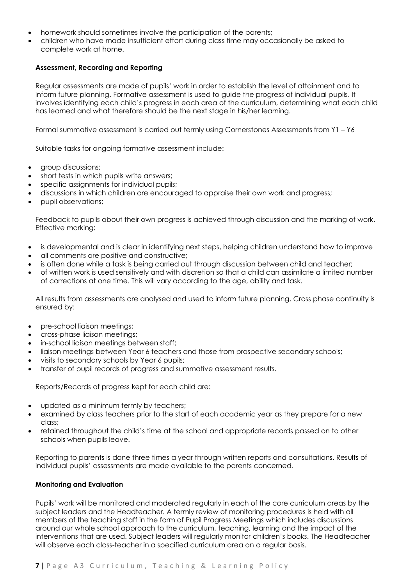- homework should sometimes involve the participation of the parents;
- children who have made insufficient effort during class time may occasionally be asked to complete work at home.

#### **Assessment, Recording and Reporting**

Regular assessments are made of pupils' work in order to establish the level of attainment and to inform future planning. Formative assessment is used to guide the progress of individual pupils. It involves identifying each child's progress in each area of the curriculum, determining what each child has learned and what therefore should be the next stage in his/her learning.

Formal summative assessment is carried out termly using Cornerstones Assessments from Y1 – Y6

Suitable tasks for ongoing formative assessment include:

- group discussions;
- short tests in which pupils write answers;
- specific assignments for individual pupils;
- discussions in which children are encouraged to appraise their own work and progress;
- pupil observations;

Feedback to pupils about their own progress is achieved through discussion and the marking of work. Effective marking:

- is developmental and is clear in identifying next steps, helping children understand how to improve
- all comments are positive and constructive;
- is often done while a task is being carried out through discussion between child and teacher;
- of written work is used sensitively and with discretion so that a child can assimilate a limited number of corrections at one time. This will vary according to the age, ability and task.

All results from assessments are analysed and used to inform future planning. Cross phase continuity is ensured by:

- pre-school liaison meetings;
- cross-phase liaison meetings;
- in-school liaison meetings between staff;
- liaison meetings between Year 6 teachers and those from prospective secondary schools;
- visits to secondary schools by Year 6 pupils;
- transfer of pupil records of progress and summative assessment results.

Reports/Records of progress kept for each child are:

- updated as a minimum termly by teachers;
- examined by class teachers prior to the start of each academic year as they prepare for a new class;
- retained throughout the child's time at the school and appropriate records passed on to other schools when pupils leave.

Reporting to parents is done three times a year through written reports and consultations. Results of individual pupils' assessments are made available to the parents concerned.

#### **Monitoring and Evaluation**

Pupils' work will be monitored and moderated regularly in each of the core curriculum areas by the subject leaders and the Headteacher. A termly review of monitoring procedures is held with all members of the teaching staff in the form of Pupil Progress Meetings which includes discussions around our whole school approach to the curriculum, teaching, learning and the impact of the interventions that are used. Subject leaders will regularly monitor children's books. The Headteacher will observe each class-teacher in a specified curriculum area on a regular basis.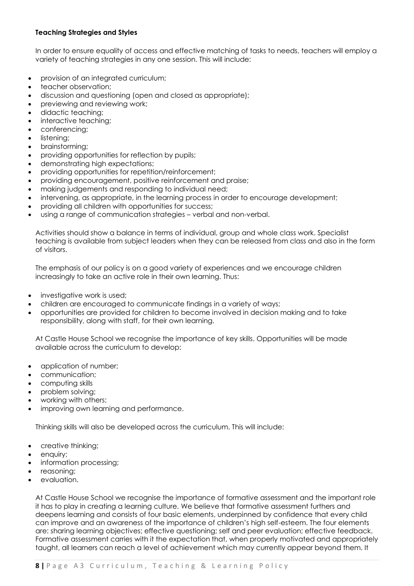## **Teaching Strategies and Styles**

In order to ensure equality of access and effective matching of tasks to needs, teachers will employ a variety of teaching strategies in any one session. This will include:

- provision of an integrated curriculum;
- teacher observation;
- discussion and questioning (open and closed as appropriate);
- previewing and reviewing work;
- didactic teaching;
- interactive teaching:
- conferencing;
- listening;
- brainstorming;
- providing opportunities for reflection by pupils;
- demonstrating high expectations;
- providing opportunities for repetition/reinforcement;
- providing encouragement, positive reinforcement and praise;
- making judgements and responding to individual need;
- intervening, as appropriate, in the learning process in order to encourage development;
- providing all children with opportunities for success;
- using a range of communication strategies verbal and non-verbal.

Activities should show a balance in terms of individual, group and whole class work. Specialist teaching is available from subject leaders when they can be released from class and also in the form of visitors.

The emphasis of our policy is on a good variety of experiences and we encourage children increasingly to take an active role in their own learning. Thus:

- investigative work is used;
- children are encouraged to communicate findings in a variety of ways;
- opportunities are provided for children to become involved in decision making and to take responsibility, along with staff, for their own learning.

At Castle House School we recognise the importance of key skills. Opportunities will be made available across the curriculum to develop:

- application of number:
- communication;
- computing skills
- problem solving;
- working with others;
- improving own learning and performance.

Thinking skills will also be developed across the curriculum. This will include:

- creative thinking;
- enquiry;
- information processing;
- reasoning;
- evaluation.

At Castle House School we recognise the importance of formative assessment and the important role it has to play in creating a learning culture. We believe that formative assessment furthers and deepens learning and consists of four basic elements, underpinned by confidence that every child can improve and an awareness of the importance of children's high self-esteem. The four elements are: sharing learning objectives; effective questioning; self and peer evaluation; effective feedback. Formative assessment carries with it the expectation that, when properly motivated and appropriately taught, all learners can reach a level of achievement which may currently appear beyond them. It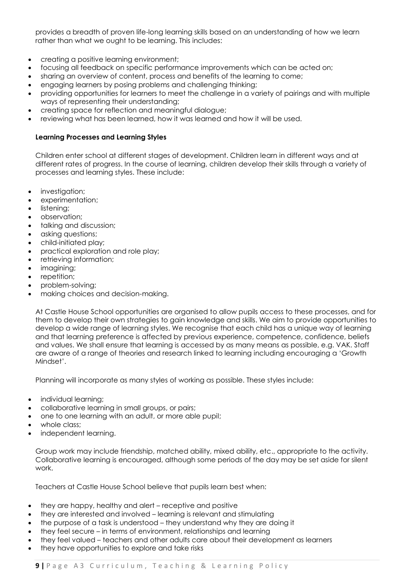provides a breadth of proven life-long learning skills based on an understanding of how we learn rather than what we ought to be learning. This includes:

- creating a positive learning environment;
- focusing all feedback on specific performance improvements which can be acted on;
- sharing an overview of content, process and benefits of the learning to come;
- engaging learners by posing problems and challenging thinking;
- providing opportunities for learners to meet the challenge in a variety of pairings and with multiple ways of representing their understanding;
- creating space for reflection and meaningful dialogue;
- reviewing what has been learned, how it was learned and how it will be used.

## **Learning Processes and Learning Styles**

Children enter school at different stages of development. Children learn in different ways and at different rates of progress. In the course of learning, children develop their skills through a variety of processes and learning styles. These include:

- investigation;
- experimentation;
- listening;
- observation;
- talking and discussion;
- asking questions:
- child-initiated play;
- practical exploration and role play;
- retrieving information;
- imagining;
- repetition;
- problem-solving;
- making choices and decision-making.

At Castle House School opportunities are organised to allow pupils access to these processes, and for them to develop their own strategies to gain knowledge and skills. We aim to provide opportunities to develop a wide range of learning styles. We recognise that each child has a unique way of learning and that learning preference is affected by previous experience, competence, confidence, beliefs and values. We shall ensure that learning is accessed by as many means as possible, e.g. VAK. Staff are aware of a range of theories and research linked to learning including encouraging a 'Growth Mindset'.

Planning will incorporate as many styles of working as possible. These styles include:

- individual learning;
- collaborative learning in small groups, or pairs;
- one to one learning with an adult, or more able pupil;
- whole class:
- independent learning.

Group work may include friendship, matched ability, mixed ability, etc., appropriate to the activity. Collaborative learning is encouraged, although some periods of the day may be set aside for silent work.

Teachers at Castle House School believe that pupils learn best when:

- they are happy, healthy and alert receptive and positive
- they are interested and involved learning is relevant and stimulating
- the purpose of a task is understood they understand why they are doing it
- they feel secure in terms of environment, relationships and learning
- they feel valued teachers and other adults care about their development as learners
- they have opportunities to explore and take risks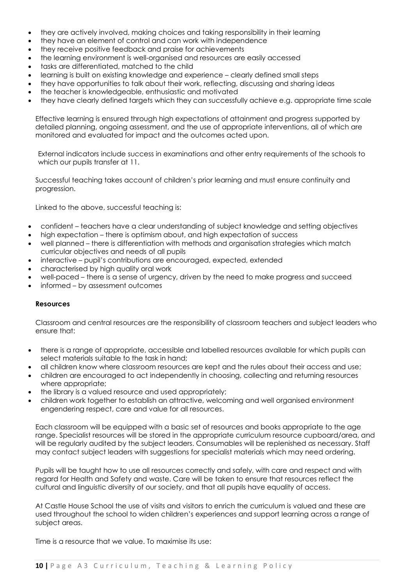- they are actively involved, making choices and taking responsibility in their learning
- they have an element of control and can work with independence
- they receive positive feedback and praise for achievements
- the learning environment is well-organised and resources are easily accessed
- tasks are differentiated, matched to the child
- learning is built on existing knowledge and experience clearly defined small steps
- they have opportunities to talk about their work, reflecting, discussing and sharing ideas
- the teacher is knowledgeable, enthusiastic and motivated
- they have clearly defined targets which they can successfully achieve e.g. appropriate time scale

Effective learning is ensured through high expectations of attainment and progress supported by detailed planning, ongoing assessment, and the use of appropriate interventions, all of which are monitored and evaluated for impact and the outcomes acted upon.

External indicators include success in examinations and other entry requirements of the schools to which our pupils transfer at 11.

Successful teaching takes account of children's prior learning and must ensure continuity and progression.

Linked to the above, successful teaching is:

- confident teachers have a clear understanding of subject knowledge and setting objectives
- high expectation there is optimism about, and high expectation of success
- well planned there is differentiation with methods and organisation strategies which match curricular objectives and needs of all pupils
- interactive pupil's contributions are encouraged, expected, extended
- characterised by high quality oral work
- well-paced there is a sense of urgency, driven by the need to make progress and succeed
- informed by assessment outcomes

#### **Resources**

Classroom and central resources are the responsibility of classroom teachers and subject leaders who ensure that:

- there is a range of appropriate, accessible and labelled resources available for which pupils can select materials suitable to the task in hand;
- all children know where classroom resources are kept and the rules about their access and use;
- children are encouraged to act independently in choosing, collecting and returning resources where appropriate;
- the library is a valued resource and used appropriately;
- children work together to establish an attractive, welcoming and well organised environment engendering respect, care and value for all resources.

Each classroom will be equipped with a basic set of resources and books appropriate to the age range. Specialist resources will be stored in the appropriate curriculum resource cupboard/area, and will be regularly audited by the subject leaders. Consumables will be replenished as necessary. Staff may contact subject leaders with suggestions for specialist materials which may need ordering.

Pupils will be taught how to use all resources correctly and safely, with care and respect and with regard for Health and Safety and waste. Care will be taken to ensure that resources reflect the cultural and linguistic diversity of our society, and that all pupils have equality of access.

At Castle House School the use of visits and visitors to enrich the curriculum is valued and these are used throughout the school to widen children's experiences and support learning across a range of subject areas.

Time is a resource that we value. To maximise its use: